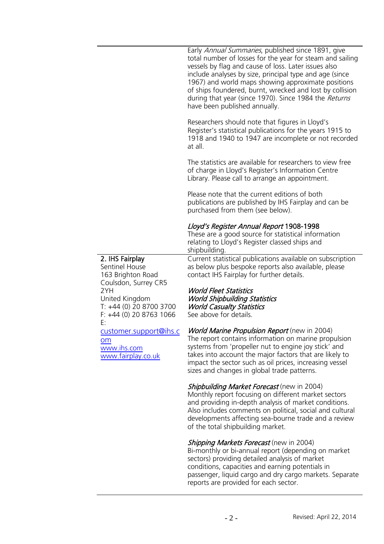**Lloyd's Register Foundation Information Centre** 71 Fenchurch Street London EC3M 4BS  United Kingdom  $\frac{1}{1}$ Ningaonn

**Infosheet**

 $T: +44(0)2074232475$ F: +44 (0)20 7423 2039 ››› E: histinfo@lr.org www.lrfoundation.org.uk



Early Annual Summaries, published since 1891, give total number of losses for the year for steam and sailing vessels by flag and cause of loss. Later issues also include analyses by size, principal type and age (since 1967) and world maps showing approximate positions of ships foundered, burnt, wrecked and lost by collision during that year (since 1970). Since 1984 the Returns have been published annually.

Researchers should note that figures in Lloyd's Register's statistical publications for the years 1915 to 1918 and 1940 to 1947 are incomplete or not recorded at all.

The statistics are available for researchers to view free of charge in Lloyd's Register's Information Centre Library. Please call to arrange an appointment.

passenger, liquid cargo and dry cargo markets. Separate reports are provided for each sector.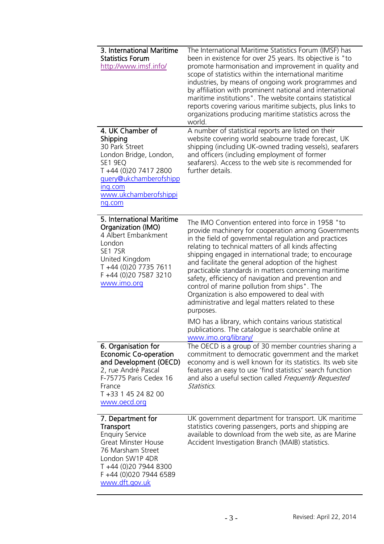**Information Centre** 71 Fenchurch Street **Lloyd's Register** 

Eondon<br>EC3M 4BS LCJM 4DJ<br>United Kingdom

Information Services<br>Information Services

Ninguoni

T: +44 (0)20 7423 2475 F: +44 (0)20 7423 2039 Fax: +44 (0)20 7423 2039 E: histinfo@lr.org Email: histinfo@lr.org www.lrfoundation.org.uk

Lloyd's Register<br>Foundation

London

| 3. International Maritime<br><b>Statistics Forum</b><br>http://www.imsf.info/                                                                                                                              | The International Maritime Statistics Forum (IMSF) has<br>been in existence for over 25 years. Its objective is "to<br>promote harmonisation and improvement in quality and<br>scope of statistics within the international maritime<br>industries, by means of ongoing work programmes and<br>by affiliation with prominent national and international<br>maritime institutions". The website contains statistical<br>reports covering various maritime subjects, plus links to<br>organizations producing maritime statistics across the<br>world.                                                                                                                                                                                                             |
|------------------------------------------------------------------------------------------------------------------------------------------------------------------------------------------------------------|------------------------------------------------------------------------------------------------------------------------------------------------------------------------------------------------------------------------------------------------------------------------------------------------------------------------------------------------------------------------------------------------------------------------------------------------------------------------------------------------------------------------------------------------------------------------------------------------------------------------------------------------------------------------------------------------------------------------------------------------------------------|
| 4. UK Chamber of<br>Shipping<br>30 Park Street<br>London Bridge, London,<br>SE1 9EQ<br>T +44 (0)20 7417 2800<br>guery@ukchamberofshipp<br>ing.com<br>www.ukchamberofshippi<br>ng.com                       | A number of statistical reports are listed on their<br>website covering world seabourne trade forecast, UK<br>shipping (including UK-owned trading vessels), seafarers<br>and officers (including employment of former<br>seafarers). Access to the web site is recommended for<br>further details.                                                                                                                                                                                                                                                                                                                                                                                                                                                              |
| 5. International Maritime<br>Organization (IMO)<br>4 Albert Embankment<br>London<br><b>SE1 7SR</b><br>United Kingdom<br>T +44 (0)20 7735 7611<br>F +44 (0)20 7587 3210<br>www.imo.org                      | The IMO Convention entered into force in 1958 "to<br>provide machinery for cooperation among Governments<br>in the field of governmental regulation and practices<br>relating to technical matters of all kinds affecting<br>shipping engaged in international trade; to encourage<br>and facilitate the general adoption of the highest<br>practicable standards in matters concerning maritime<br>safety, efficiency of navigation and prevention and<br>control of marine pollution from ships". The<br>Organization is also empowered to deal with<br>administrative and legal matters related to these<br>purposes.<br>IMO has a library, which contains various statistical<br>publications. The catalogue is searchable online at<br>www.imo.org/library/ |
| 6. Organisation for<br><b>Economic Co-operation</b><br>and Development (OECD)<br>2, rue André Pascal<br>F-75775 Paris Cedex 16<br>France<br>T +33 1 45 24 82 00<br>www.oecd.org                            | The OECD is a group of 30 member countries sharing a<br>commitment to democratic government and the market<br>economy and is well known for its statistics. Its web site<br>features an easy to use 'find statistics' search function<br>and also a useful section called Frequently Requested<br>Statistics.                                                                                                                                                                                                                                                                                                                                                                                                                                                    |
| 7. Department for<br><b>Transport</b><br><b>Enquiry Service</b><br><b>Great Minster House</b><br>76 Marsham Street<br>London SW1P 4DR<br>T +44 (0)20 7944 8300<br>F +44 (0)020 7944 6589<br>www.dft.gov.uk | UK government department for transport. UK maritime<br>statistics covering passengers, ports and shipping are<br>available to download from the web site, as are Marine<br>Accident Investigation Branch (MAIB) statistics.                                                                                                                                                                                                                                                                                                                                                                                                                                                                                                                                      |